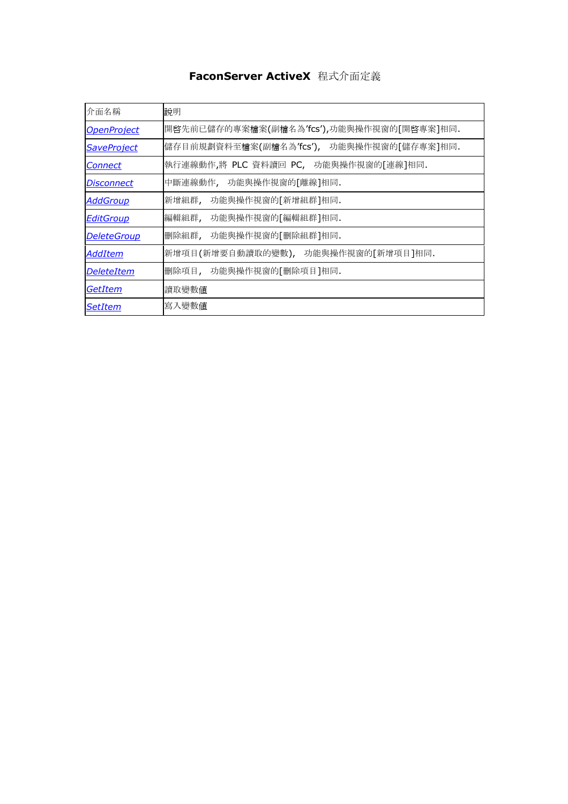# **FaconServer ActiveX** 程式介面定義

| 介面名稱                     | 說明                                           |
|--------------------------|----------------------------------------------|
| <b>OpenProject</b>       | 開啓先前已儲存的專案檔案(副檔名為'fcs'),功能與操作視窗的[開啓專案]相同.    |
| <b>SaveProject</b>       | 儲存目前規劃資料至檔案(副檔名為'fcs'),<br>功能與操作視窗的「儲存專案]相同. |
| <u>Connect</u>           | 執行連線動作,將 PLC 資料讀回 PC, 功能與操作視窗的[連線]相同.        |
| <i><b>Disconnect</b></i> | 中斷連線動作, 功能與操作視窗的[離線]相同.                      |
| <b>AddGroup</b>          | 功能與操作視窗的[新增組群]相同.<br>新增組群,                   |
| <b>EditGroup</b>         | 編輯組群,<br>功能與操作視窗的[編輯組群]相同.                   |
| <b>DeleteGroup</b>       | 刪除組群,<br>功能與操作視窗的[刪除組群]相同.                   |
| <u>AddItem</u>           | 新增項目(新增要自動讀取的變數), 功能與操作視窗的[新增項目]相同.          |
| <b>DeleteItem</b>        | 删除項目,<br>功能與操作視窗的[刪除項目]相同.                   |
| <b>GetItem</b>           | 讀取變數值                                        |
| <b>SetItem</b>           | 寫入變數值                                        |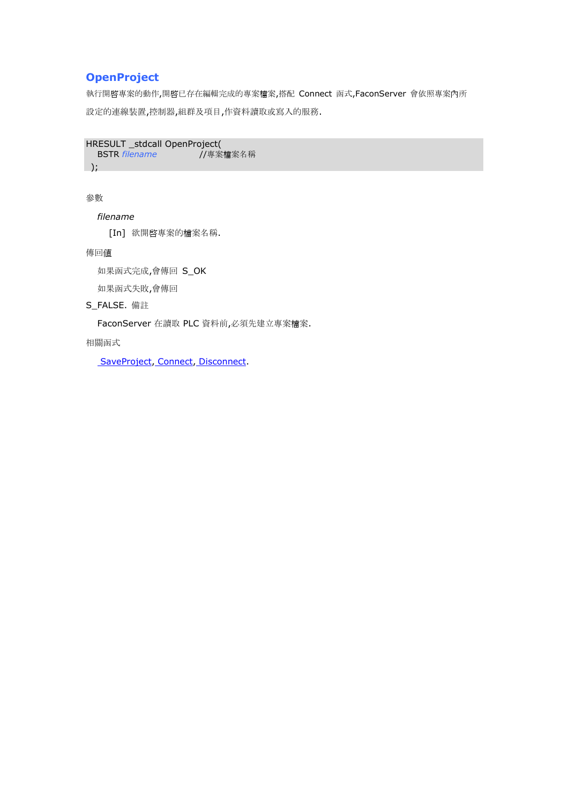## **OpenProject**

執行開啟專案的動作,開啟已存在編輯完成的專案檔案,搭配 Connect 函式,FaconServer 會依照專案內所 設定的連線裝置,控制器,組群及項目,作資料讀取或寫入的服務.

HRESULT \_stdcall OpenProject( BSTR *filename* //專案檔案名稱 );

參數

*filename*

[In] 欲開啟專案的檔案名稱.

傳回值

如果函式完成,會傳回 S\_OK

如果函式失敗,會傳回

S\_FALSE. 備註

FaconServer 在讀取 PLC 資料前,必須先建立專案檔案.

相關函式

SaveProject, Connect, Disconnect.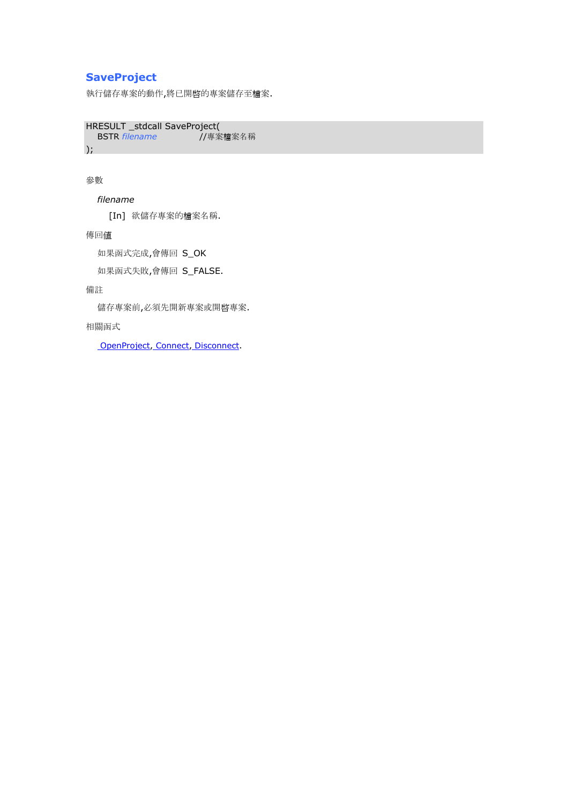## **SaveProject**

執行儲存專案的動作,將已開啓的專案儲存至檔案.

HRESULT \_stdcall SaveProject( BSTR *filename* //專案檔案名稱 );

參數

*filename*

[In] 欲儲存專案的檔案名稱.

傳回值

如果函式完成,會傳回 S\_OK

如果函式失敗,會傳回 S\_FALSE.

備註

儲存專案前,必須先開新專案或開啟專案.

相關函式

OpenProject, Connect, Disconnect.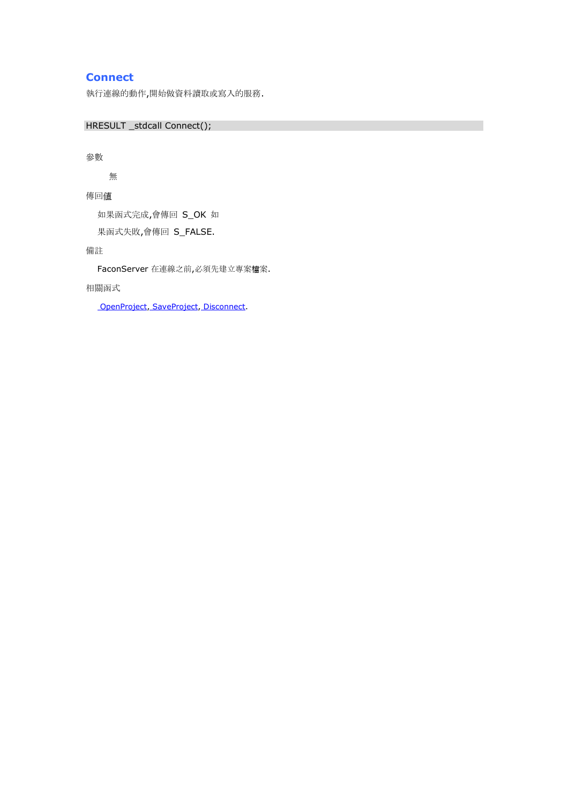## **Connect**

執行連線的動作,開始做資料讀取或寫入的服務.

HRESULT \_stdcall Connect();

### 參數

無

傳回值

如果函式完成,會傳回 S\_OK 如 果函式失敗,會傳回 S\_FALSE.

備註

FaconServer 在連線之前,必須先建立專案檔案.

### 相關函式

OpenProject, SaveProject, Disconnect.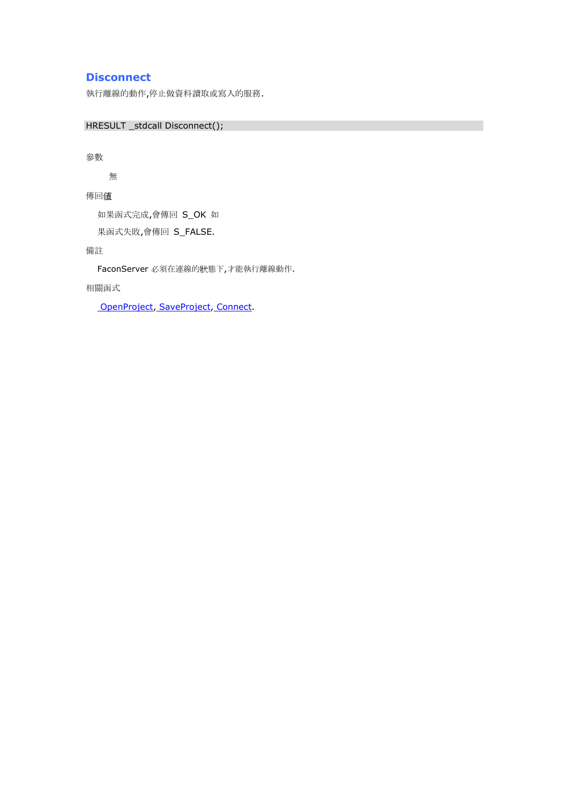## **Disconnect**

執行離線的動作,停止做資料讀取或寫入的服務.

HRESULT \_stdcall Disconnect();

參數

無

傳回值

如果函式完成,會傳回 S\_OK 如

果函式失敗,會傳回 S\_FALSE.

備註

FaconServer 必須在連線的狀態下,才能執行離線動作.

相關函式

OpenProject, SaveProject, Connect.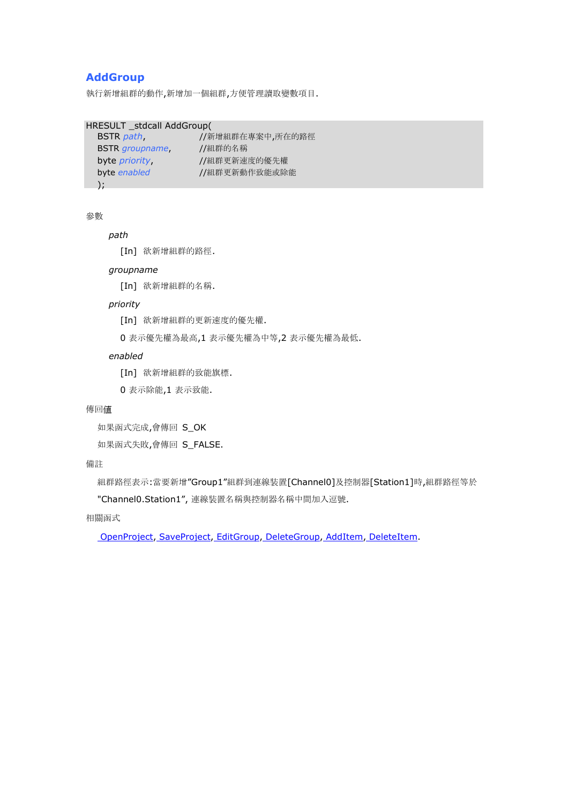### **AddGroup**

執行新增組群的動作,新增加一個組群,方便管理讀取變數項目.

```
HRESULT _stdcall AddGroup(
```

| BSTR <i>path</i> ,     | //新增組群在專案中,所在的路徑 |
|------------------------|------------------|
| <b>BSTR</b> groupname, | //組群的名稱          |
| byte <i>priority</i>   | //組群更新速度的優先權     |
| byte enabled           | //組群更新動作致能或除能    |
| $\Box$ :               |                  |

參數

### *path*

[In] 欲新增組群的路徑.

### *groupname*

[In] 欲新增組群的名稱.

#### *priority*

- [In] 欲新增組群的更新速度的優先權.
- 0 表示優先權為最高,1 表示優先權為中等,2 表示優先權為最低.

#### *enabled*

- [In] 欲新增組群的致能旗標.
- 0 表示除能,1 表示致能.

#### 傳回值

```
如果函式完成,會傳回 S_OK
```

```
如果函式失敗,會傳回 S_FALSE.
```
#### 備註

組群路徑表示:當要新增"Group1"組群到連線裝置[Channel0]及控制器[Station1]時,組群路徑等於

"Channel0.Station1", 連線裝置名稱與控制器名稱中間加入逗號.

### 相關函式

OpenProject, SaveProject, EditGroup, DeleteGroup, AddItem, DeleteItem.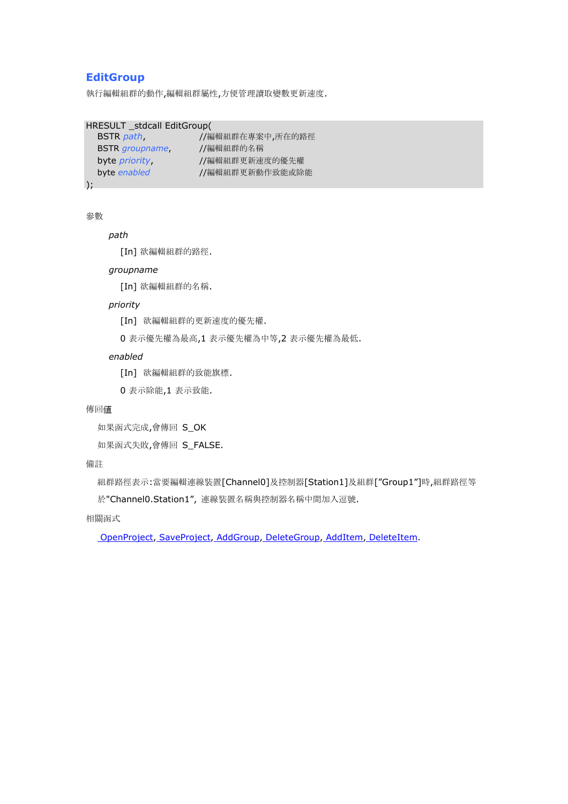### **EditGroup**

執行編輯組群的動作,編輯組群屬性,方便管理讀取變數更新速度.

```
HRESULT _stdcall EditGroup(
```

| BSTR <i>path</i> ,     | //編輯組群在專案中,所在的路徑 |
|------------------------|------------------|
| <b>BSTR</b> groupname, | //編輯組群的名稱        |
| byte <i>priority</i> , | //編輯組群更新速度的優先權   |
| byte enabled           | //編輯組群更新動作致能或除能  |
|                        |                  |

);

```
參數
```
#### *path*

[In] 欲編輯組群的路徑.

### *groupname*

[In] 欲編輯組群的名稱.

#### *priority*

- [In] 欲編輯組群的更新速度的優先權.
- 0 表示優先權為最高,1 表示優先權為中等,2 表示優先權為最低.

#### *enabled*

- [In] 欲編輯組群的致能旗標.
- 0 表示除能,1 表示致能.

#### 傳回值

```
如果函式完成,會傳回 S_OK
```
如果函式失敗,會傳回 S\_FALSE.

### 備註

組群路徑表示:當要編輯連線裝置[Channel0]及控制器[Station1]及組群["Group1"]時,組群路徑等

於"Channel0.Station1", 連線裝置名稱與控制器名稱中間加入逗號.

### 相關函式

OpenProject, SaveProject, AddGroup, DeleteGroup, AddItem, DeleteItem.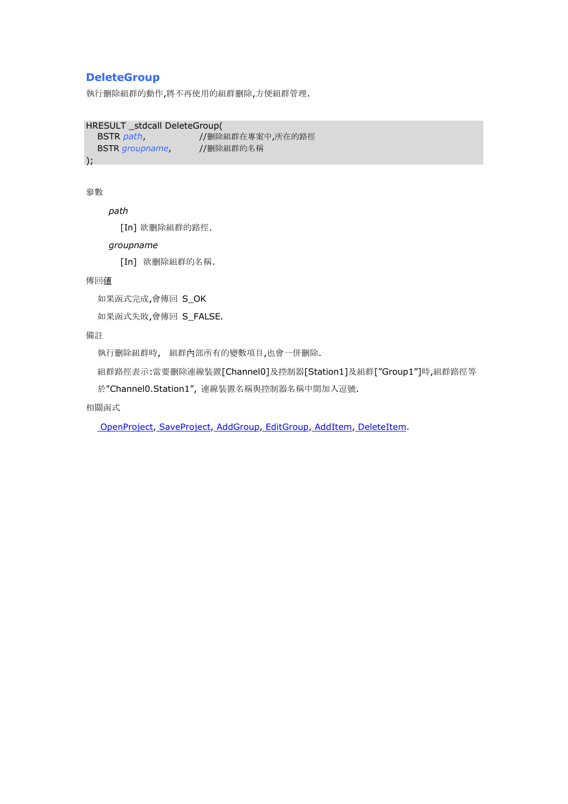### **DeleteGroup**

執行刪除組群的動作,將不再使用的組群刪除,方便組群管理.

HRESULT \_stdcall DeleteGroup(

BSTR *path*, //刪除組群在專案中,所在的路徑 BSTR *groupname*, //刪除組群的名稱

);

### 參數

*path*

[In] 欲刪除組群的路徑.

#### *groupname*

[In] 欲刪除組群的名稱.

傳回值

如果函式完成,會傳回 S\_OK

如果函式失敗,會傳回 S\_FALSE.

### 備註

執行刪除組群時, 組群內部所有的變數項目,也會一併刪除.

組群路徑表示:當要刪除連線裝置[Channel0]及控制器[Station1]及組群["Group1"]時,組群路徑等

於"Channel0.Station1", 連線裝置名稱與控制器名稱中間加入逗號.

相關函式

OpenProject, SaveProject, AddGroup, EditGroup, AddItem, DeleteItem.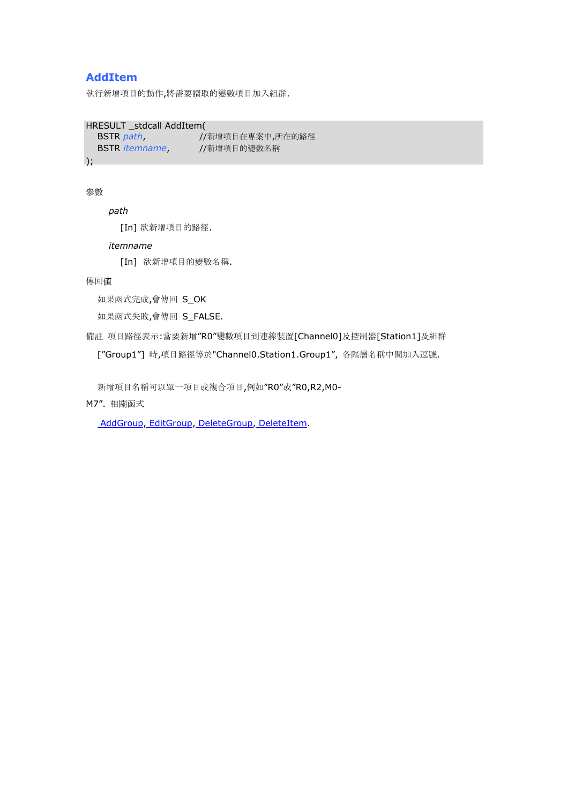### **AddItem**

執行新增項目的動作,將需要讀取的變數項目加入組群.

```
HRESULT _stdcall AddItem(
```
BSTR *path*, //新增項目在專案中,所在的路徑 BSTR *itemname*, //新增項目的變數名稱

 $)$ ;

### 參數

*path*

[In] 欲新增項目的路徑.

#### *itemname*

[In] 欲新增項目的變數名稱.

傳回值

如果函式完成,會傳回 S\_OK

如果函式失敗,會傳回 S\_FALSE.

備註 項目路徑表示:當要新增"R0"變數項目到連線裝置[Channel0]及控制器[Station1]及組群

["Group1"] 時,項目路徑等於"Channel0.Station1.Group1", 各階層名稱中間加入逗號.

新增項目名稱可以單一項目或複合項目,例如"R0"或"R0,R2,M0-

M7". 相關函式

AddGroup, EditGroup, DeleteGroup, DeleteItem.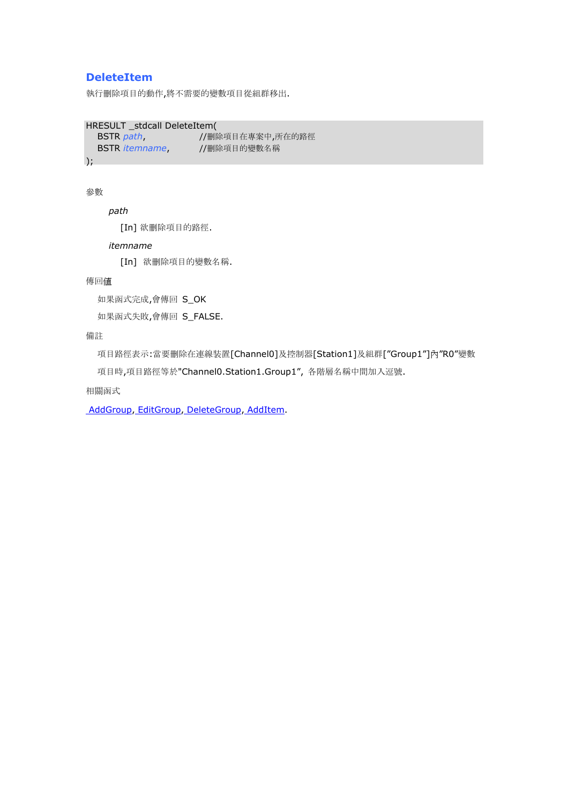### **DeleteItem**

執行刪除項目的動作,將不需要的變數項目從組群移出.

HRESULT \_stdcall DeleteItem(

BSTR *path*, //刪除項目在專案中,所在的路徑 BSTR *itemname*, //刪除項目的變數名稱

 $)$ ;

### 參數

*path*

[In] 欲刪除項目的路徑.

#### *itemname*

[In] 欲刪除項目的變數名稱.

#### 傳回值

如果函式完成,會傳回 S\_OK

如果函式失敗,會傳回 S\_FALSE.

### 備註

項目路徑表示:當要刪除在連線裝置[Channel0]及控制器[Station1]及組群["Group1"]內"R0"變數

項目時,項目路徑等於"Channel0.Station1.Group1", 各階層名稱中間加入逗號.

相關函式

AddGroup, EditGroup, DeleteGroup, AddItem.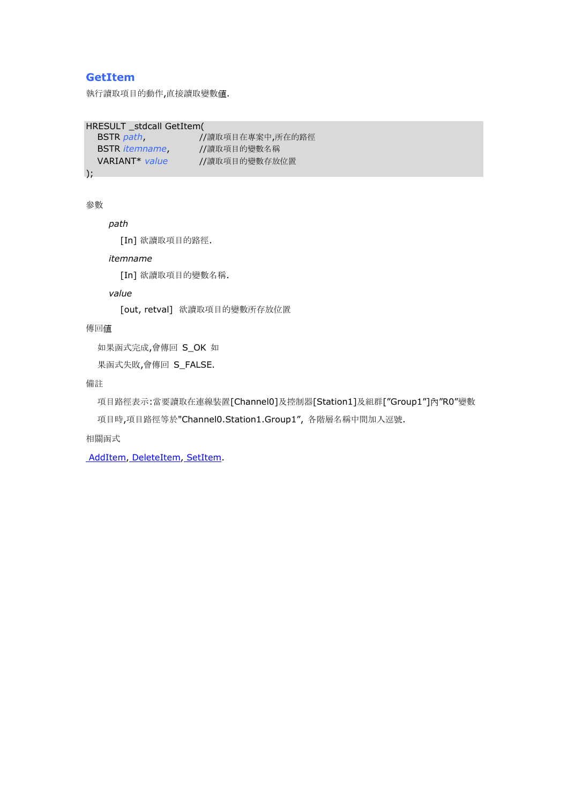### **GetItem**

執行讀取項目的動作,直接讀取變數值.

```
HRESULT _stdcall GetItem(
```

```
BSTR path, <br>
//讀取項目在專案中,所在的路徑
BSTR itemname, //讀取項目的變數名稱
VARIANT* value //讀取項目的變數存放位置
```
);

### 參數

*path*

[In] 欲讀取項目的路徑.

#### *itemname*

[In] 欲讀取項目的變數名稱.

*value*

[out, retval] 欲讀取項目的變數所存放位置

傳回值

如果函式完成,會傳回 S\_OK 如

果函式失敗,會傳回 S\_FALSE.

備註

項目路徑表示:當要讀取在連線裝置[Channel0]及控制器[Station1]及組群["Group1"]內"R0"變數

項目時,項目路徑等於"Channel0.Station1.Group1", 各階層名稱中間加入逗號.

相關函式

AddItem, DeleteItem, SetItem.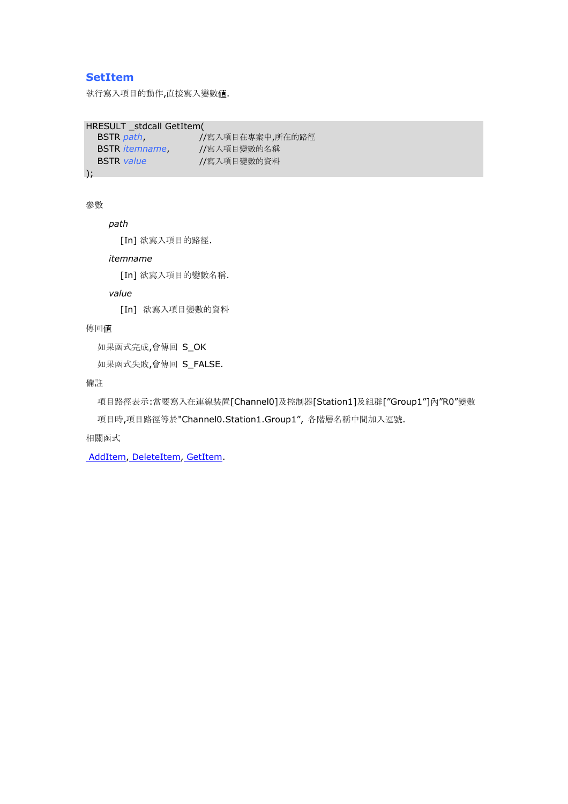### **SetItem**

執行寫入項目的動作,直接寫入變數值.

```
HRESULT _stdcall GetItem(
```

```
BSTR path, //寫入項目在專案中,所在的路徑
BSTR itemname, //寫入項目變數的名稱
BSTR value //寫入項目變數的資料
```
);

### 參數

```
path
```
[In] 欲寫入項目的路徑.

#### *itemname*

[In] 欲寫入項目的變數名稱.

*value*

[In] 欲寫入項目變數的資料

傳回值

如果函式完成,會傳回 S\_OK

如果函式失敗,會傳回 S\_FALSE.

備註

項目路徑表示:當要寫入在連線裝置[Channel0]及控制器[Station1]及組群["Group1"]內"R0"變數

項目時,項目路徑等於"Channel0.Station1.Group1", 各階層名稱中間加入逗號.

相關函式

AddItem, DeleteItem, GetItem.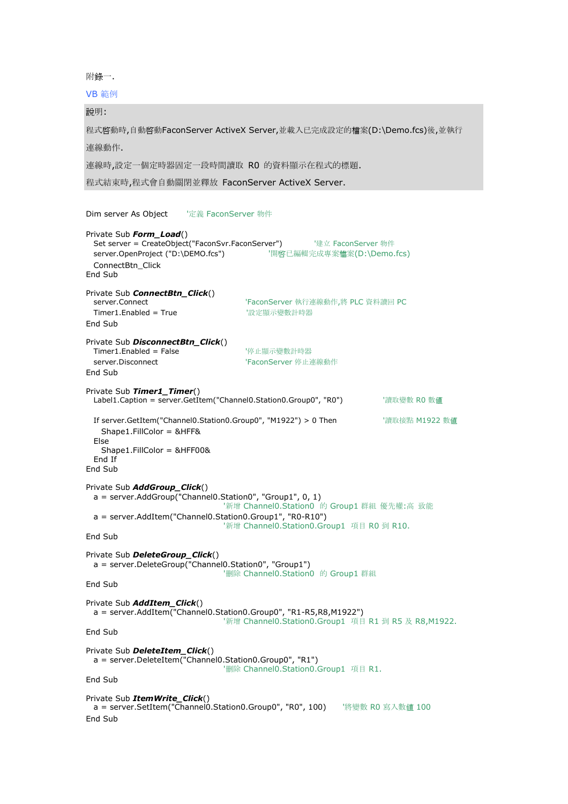附錄一.

VB 範例

說明: 程式啟動時,自動啟動FaconServer ActiveX Server,並載入已完成設定的檔案(D:\Demo.fcs)後,並執行 連線動作. 連線時,設定一個定時器固定一段時間讀取 R0 的資料顯示在程式的標題. 程式結束時,程式會自動關閉並釋放 FaconServer ActiveX Server. Dim server As Object '定義 FaconServer 物件 Private Sub *Form\_Load*() Set server = CreateObject("FaconSvr.FaconServer") '建立 FaconServer 物件 server.OpenProject ("D:\DEMO.fcs") '開啓已編輯完成專案檔案(D:\Demo.fcs) ConnectBtn\_Click End Sub Private Sub *ConnectBtn\_Click*() 'FaconServer 執行連線動作,將 PLC 資料讀回 PC Timer1.Enabled = True '設定顯示變數計時器 End Sub Private Sub *DisconnectBtn\_Click*() Timer1.Enabled = False **The tell of the Set of the Timer1.Enabled = False** server.Disconnect **the contract of the server** 'FaconServer 停止連線動作 End Sub Private Sub *Timer1\_Timer*() Label1.Caption = server.GetItem("Channel0.Station0.Group0", "R0") | '讀取變數 R0 數值 If server.GetItem("Channel0.Station0.Group0", "M1922") > 0 Then '讀取接點 M1922 數值 Shape1.FillColor = &HFF& Else Shape1.FillColor = &HFF00& End If End Sub Private Sub *AddGroup\_Click*()  $a = server.AddGroup("Channel0.Station0", "Group1", 0, 1)$ '新增 Channel0.Station0 的 Group1 群組 優先權:高 致能 a = server.AddItem("Channel0.Station0.Group1", "R0-R10") '新增 Channel0.Station0.Group1 項目 R0 到 R10. End Sub Private Sub *DeleteGroup\_Click*() a = server.DeleteGroup("Channel0.Station0", "Group1") '刪除 Channel0.Station0 的 Group1 群組 End Sub Private Sub *AddItem\_Click*()  $a = server.AddItem("Channel0.Station0.Group0", "R1-R5,R8,M1922")$ '新增 Channel0.Station0.Group1 項目 R1 到 R5 及 R8,M1922. End Sub Private Sub *DeleteItem\_Click*() a = server.DeleteItem("Channel0.Station0.Group0", "R1") '刪除 Channel0.Station0.Group1 項目 R1. End Sub Private Sub *ItemWrite\_Click*() a = server.SetItem("Channel0.Station0.Group0", "R0", 100) '將變數 R0 寫入數值 100 End Sub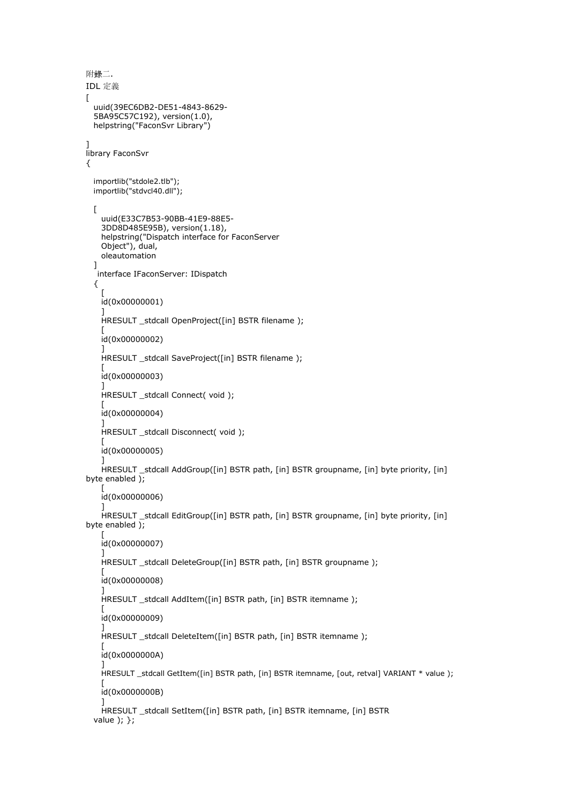```
附錄二.
IDL 定義
[
  uuid(39EC6DB2-DE51-4843-8629-
  5BA95C57C192), version(1.0),
  helpstring("FaconSvr Library")
]
library FaconSvr
{
  importlib("stdole2.tlb"); 
  importlib("stdvcl40.dll");
  \Gammauuid(E33C7B53-90BB-41E9-88E5-
    3DD8D485E95B), version(1.18),
   helpstring("Dispatch interface for FaconServer 
   Object"), dual,
   oleautomation
  ]
  interface IFaconServer: IDispatch
  {
    \sqrt{ }id(0x00000001)
   ]
   HRESULT _stdcall OpenProject([in] BSTR filename );
    [
   id(0x00000002)
   ]
   HRESULT _stdcall SaveProject([in] BSTR filename );
    [
   id(0x00000003)
   ]
   HRESULT _stdcall Connect( void );
   \perpid(0x00000004)
   ]
   HRESULT _stdcall Disconnect( void );
    [
   id(0x00000005)
    ]
   HRESULT _stdcall AddGroup([in] BSTR path, [in] BSTR groupname, [in] byte priority, [in] 
byte enabled );
    [
    id(0x00000006)
   ]
   HRESULT _stdcall EditGroup([in] BSTR path, [in] BSTR groupname, [in] byte priority, [in] 
byte enabled );
    [
   id(0x00000007)
    ]
   HRESULT stdcall DeleteGroup([in] BSTR path, [in] BSTR groupname );
    [
   id(0x00000008)
   ]
   HRESULT _stdcall AddItem([in] BSTR path, [in] BSTR itemname );
   \overline{\phantom{a}}id(0x00000009)
   ]
   HRESULT _stdcall DeleteItem([in] BSTR path, [in] BSTR itemname);
    [
   id(0x0000000A)
   ]
   HRESULT _stdcall GetItem([in] BSTR path, [in] BSTR itemname, [out, retval] VARIANT * value );
   \lceilid(0x0000000B)
    ]
   HRESULT _stdcall SetItem([in] BSTR path, [in] BSTR itemname, [in] BSTR 
  value ); };
```